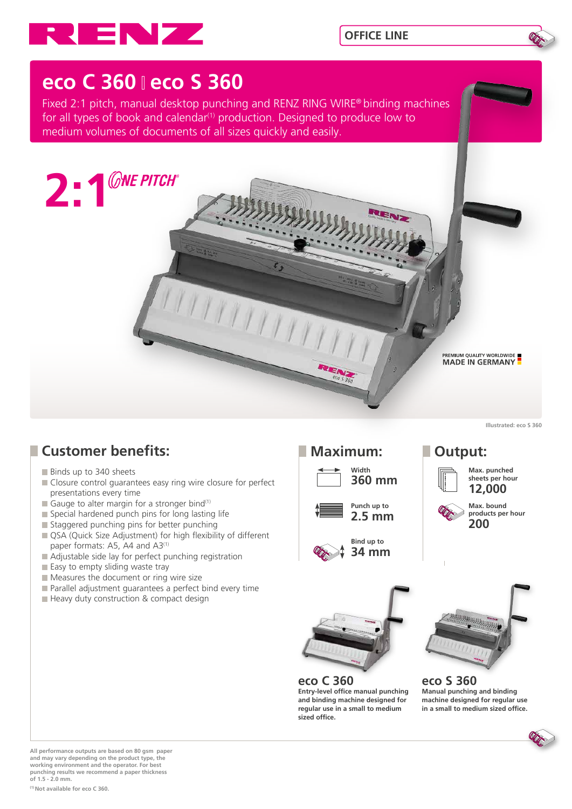



# **eco C 360 eco S 360**

Fixed 2:1 pitch, manual desktop punching and RENZ RING WIRE® binding machines for all types of book and calendar<sup>(1)</sup> production. Designed to produce low to medium volumes of documents of all sizes quickly and easily.



**Illustrated: eco S 360** 

## **Customer benefits:**

- Binds up to 340 sheets
- Closure control quarantees easy ring wire closure for perfect presentations every time
- Gauge to alter margin for a stronger bind(1)
- Special hardened punch pins for long lasting life
- Staggered punching pins for better punching
- QSA (Quick Size Adjustment) for high flexibility of different paper formats: A5, A4 and A3<sup>(1)</sup>
- Adjustable side lay for perfect punching registration
- $\blacksquare$  Easy to empty sliding waste tray
- Measures the document or ring wire size
- **Parallel adjustment quarantees a perfect bind every time**
- **Heavy duty construction & compact design**

### **Maximum: Output:**











**Max. bound products per hour 200**



**eco C 360 Entry-level office manual punching and binding machine designed for regular use in a small to medium sized office.**



**eco S 360 Manual punching and binding machine designed for regular use in a small to medium sized office.**

**All performance outputs are based on 80 gsm paper and may vary depending on the product type, the working environment and the operator. For best punching results we recommend a paper thickness of 1.5 - 2.0 mm.**